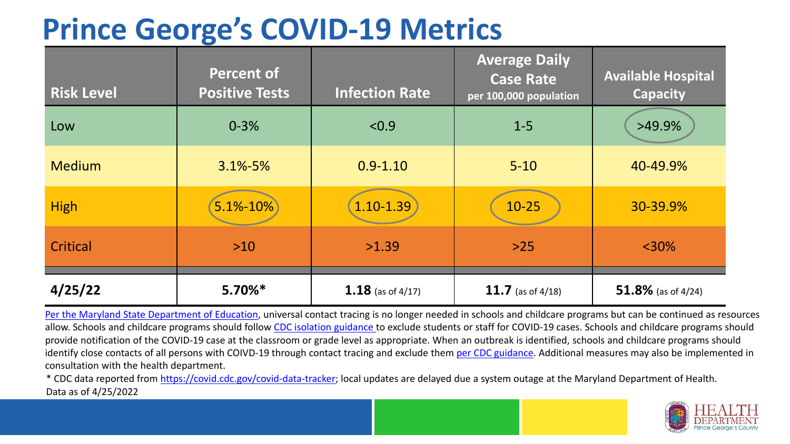## **Prince George's COVID-19 Metrics**

| <b>Risk Level</b> | <b>Percent of</b><br><b>Positive Tests</b> | <b>Infection Rate</b> | <b>Average Daily</b><br><b>Case Rate</b><br>per 100,000 population | <b>Available Hospital</b><br><b>Capacity</b> |
|-------------------|--------------------------------------------|-----------------------|--------------------------------------------------------------------|----------------------------------------------|
| Low               | $0 - 3%$                                   | < 0.9                 | $1 - 5$                                                            | >49.9%                                       |
| <b>Medium</b>     | $3.1\% - 5\%$                              | $0.9 - 1.10$          | $5 - 10$                                                           | 40-49.9%                                     |
| <b>High</b>       | 5.1%-10%                                   | $1.10 - 1.39$         | $10 - 25$                                                          | 30-39.9%                                     |
| Critical          | $>10$                                      | >1.39                 | $>25$                                                              | $<$ 30%                                      |
| 4/25/22           | $5.70\%*$                                  | 1.18 (as of $4/17$ )  | 11.7 (as of $4/18$ )                                               | 51.8% (as of $4/24$ )                        |

[Per the Maryland State Department of Education,](https://earlychildhood.marylandpublicschools.org/system/files/filedepot/3/covid_guidance_full_080420.pdf) universal contact tracing is no longer needed in schools and childcare programs but can be continued as resources allow. Schools and childcare programs should follow [CDC isolation guidance t](https://www.cdc.gov/coronavirus/2019-ncov/community/schools-childcare/k-12-contact-tracing/about-isolation.html)o exclude students or staff for COVID-19 cases. Schools and childcare programs should provide notification of the COVID-19 case at the classroom or grade level as appropriate. When an outbreak is identified, schools and childcare programs should identify close contacts of all persons with COIVD-19 through contact tracing and exclude them [per CDC guidance](https://www.cdc.gov/coronavirus/2019-ncov/your-health/quarantine-isolation.html). Additional measures may also be implemented in consultation with the health department.

\* CDC data reported from [https://covid.cdc.gov/covid-data-tracker;](https://covid.cdc.gov/covid-data-tracker) local updates are delayed due a system outage at the Maryland Department of Health. Data as of 4/25/2022

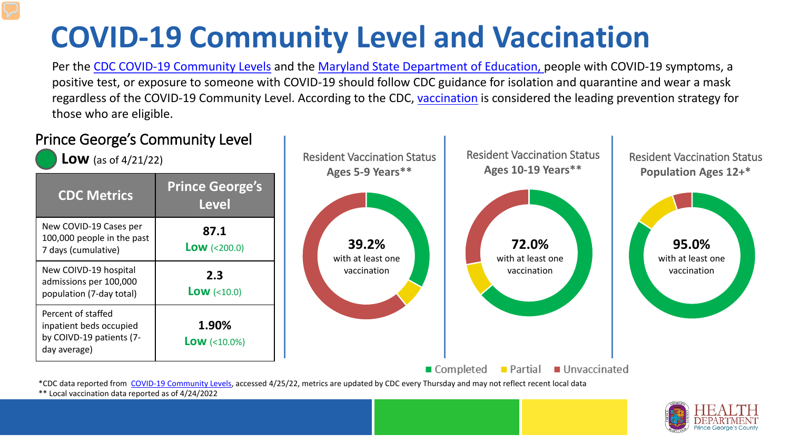# **COVID-19 Community Level and Vaccination**

Per the [CDC COVID-19 Community Levels](https://www.cdc.gov/coronavirus/2019-ncov/science/community-levels.html#anchor_82254) and the [Maryland State Department of Education,](https://earlychildhood.marylandpublicschools.org/system/files/filedepot/3/covid_guidance_full_080420.pdf) people with COVID-19 symptoms, a positive test, or exposure to someone with COVID-19 should follow CDC guidance for isolation and quarantine and wear a mask regardless of the COVID-19 Community Level. According to the CDC, [vaccination](https://www.cdc.gov/coronavirus/2019-ncov/prevent-getting-sick/prevention.html) is considered the leading prevention strategy for those who are eligible.



\*\* Local vaccination data reported as of 4/24/2022

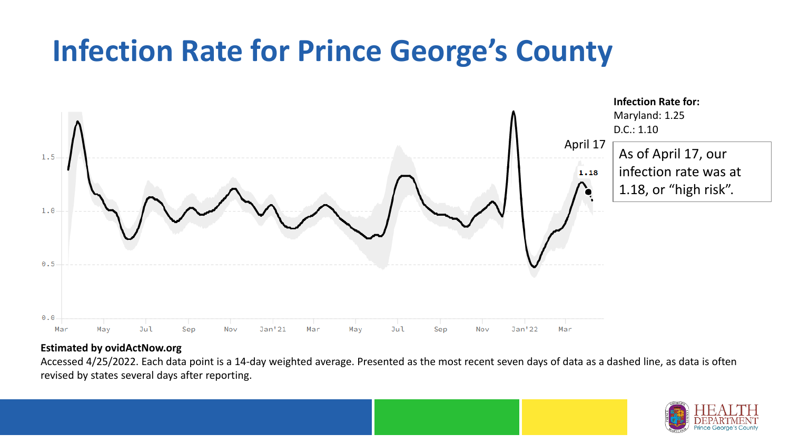## **Infection Rate for Prince George's County**



#### **Estimated by ovidActNow.org**

Accessed 4/25/2022. Each data point is a 14-day weighted average. Presented as the most recent seven days of data as a dashed line, as data is often revised by states several days after reporting.

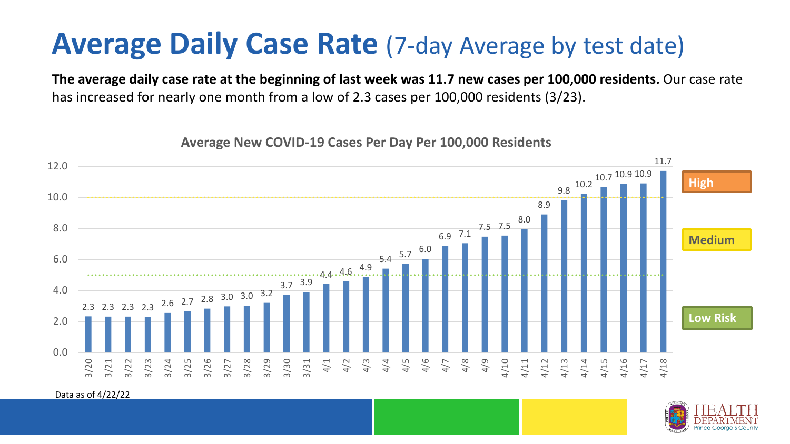### **Average Daily Case Rate** (7-day Average by test date)

**The average daily case rate at the beginning of last week was 11.7 new cases per 100,000 residents.** Our case rate has increased for nearly one month from a low of 2.3 cases per 100,000 residents (3/23).

**Average New COVID-19 Cases Per Day Per 100,000 Residents**